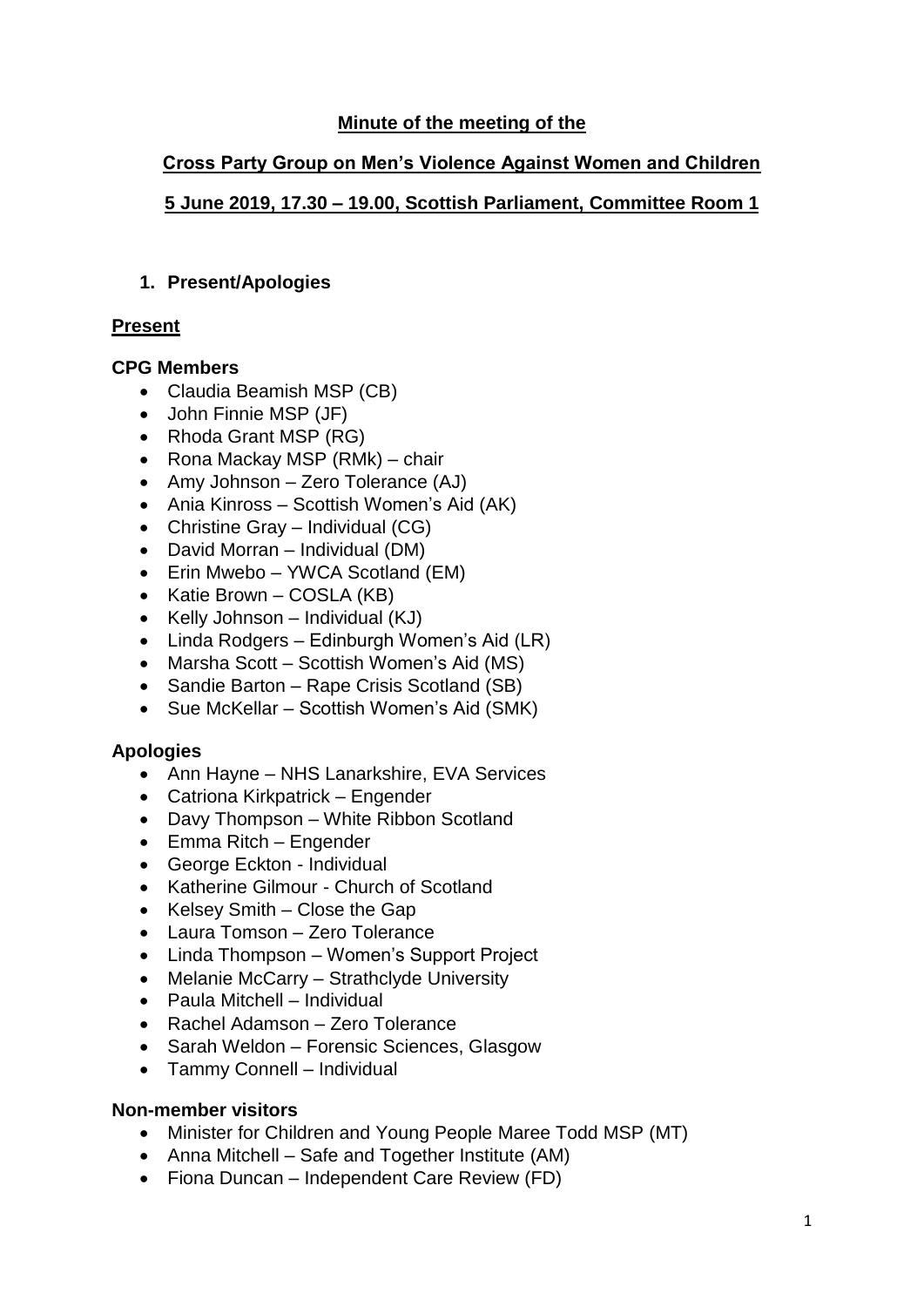## **Minute of the meeting of the**

## **Cross Party Group on Men's Violence Against Women and Children**

## **5 June 2019, 17.30 – 19.00, Scottish Parliament, Committee Room 1**

## **1. Present/Apologies**

## **Present**

## **CPG Members**

- Claudia Beamish MSP (CB)
- John Finnie MSP (JF)
- Rhoda Grant MSP (RG)
- Rona Mackay MSP (RMk) chair
- Amy Johnson Zero Tolerance (AJ)
- Ania Kinross Scottish Women's Aid (AK)
- Christine Gray Individual (CG)
- David Morran Individual (DM)
- Erin Mwebo YWCA Scotland (EM)
- Katie Brown COSLA (KB)
- Kelly Johnson Individual (KJ)
- Linda Rodgers Edinburgh Women's Aid (LR)
- Marsha Scott Scottish Women's Aid (MS)
- Sandie Barton Rape Crisis Scotland (SB)
- Sue McKellar Scottish Women's Aid (SMK)

# **Apologies**

- Ann Hayne NHS Lanarkshire, EVA Services
- Catriona Kirkpatrick Engender
- Davy Thompson White Ribbon Scotland
- Emma Ritch Engender
- George Eckton Individual
- Katherine Gilmour Church of Scotland
- Kelsey Smith Close the Gap
- Laura Tomson Zero Tolerance
- Linda Thompson Women's Support Project
- Melanie McCarry Strathclyde University
- Paula Mitchell Individual
- Rachel Adamson Zero Tolerance
- Sarah Weldon Forensic Sciences, Glasgow
- Tammy Connell Individual

# **Non-member visitors**

- Minister for Children and Young People Maree Todd MSP (MT)
- Anna Mitchell Safe and Together Institute (AM)
- Fiona Duncan Independent Care Review (FD)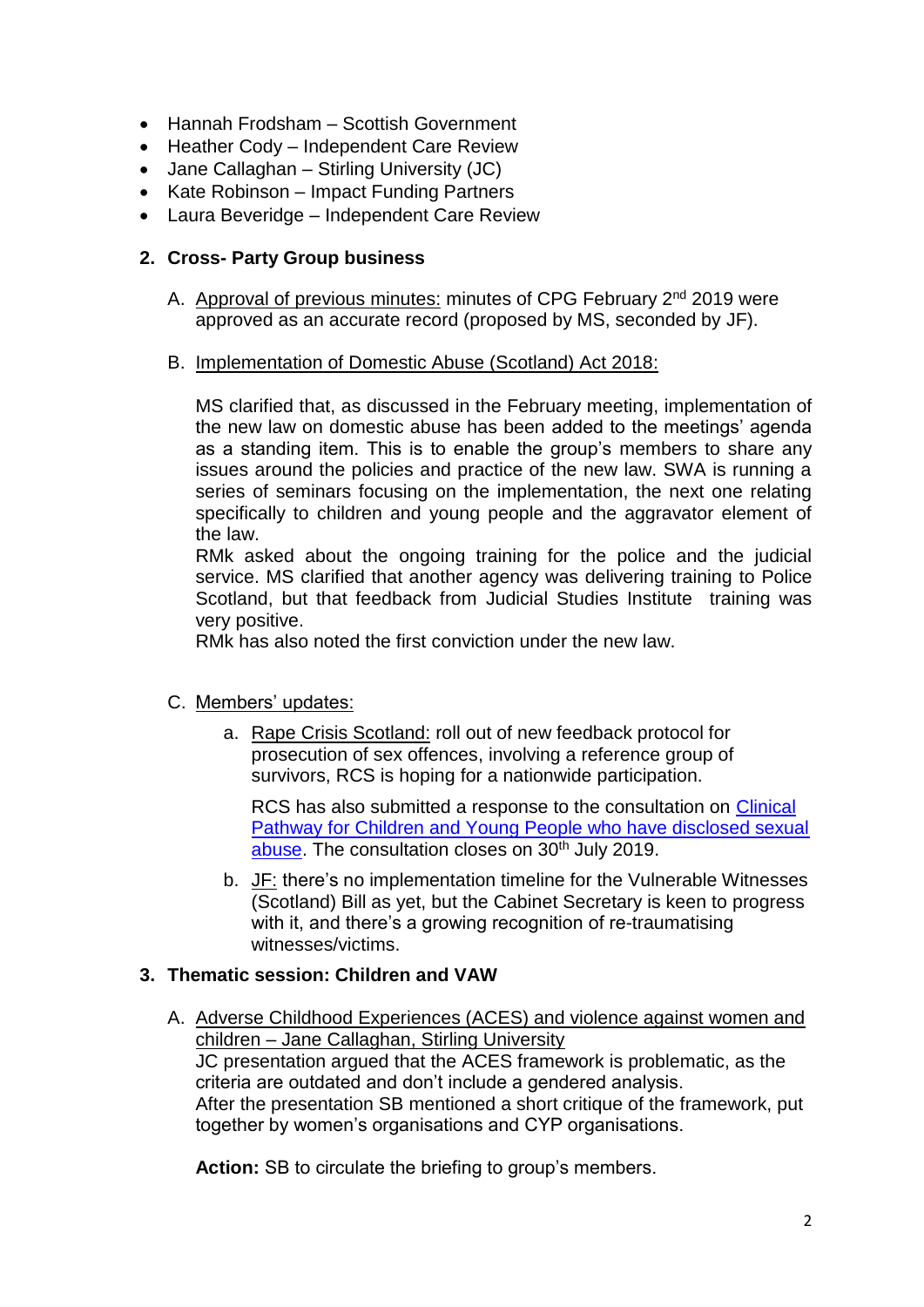- Hannah Frodsham Scottish Government
- Heather Cody Independent Care Review
- Jane Callaghan Stirling University (JC)
- Kate Robinson Impact Funding Partners
- Laura Beveridge Independent Care Review

### **2. Cross- Party Group business**

- A. Approval of previous minutes: minutes of CPG February 2<sup>nd</sup> 2019 were approved as an accurate record (proposed by MS, seconded by JF).
- B. Implementation of Domestic Abuse (Scotland) Act 2018:

MS clarified that, as discussed in the February meeting, implementation of the new law on domestic abuse has been added to the meetings' agenda as a standing item. This is to enable the group's members to share any issues around the policies and practice of the new law. SWA is running a series of seminars focusing on the implementation, the next one relating specifically to children and young people and the aggravator element of the law.

RMk asked about the ongoing training for the police and the judicial service. MS clarified that another agency was delivering training to Police Scotland, but that feedback from Judicial Studies Institute training was very positive.

RMk has also noted the first conviction under the new law.

#### C. Members' updates:

a. Rape Crisis Scotland: roll out of new feedback protocol for prosecution of sex offences, involving a reference group of survivors, RCS is hoping for a nationwide participation.

RCS has also submitted a response to the consultation on [Clinical](https://consult.gov.scot/cmo/clinical-pathway/)  [Pathway for Children and Young People who have disclosed sexual](https://consult.gov.scot/cmo/clinical-pathway/)  [abuse.](https://consult.gov.scot/cmo/clinical-pathway/) The consultation closes on 30<sup>th</sup> July 2019.

b. JF: there's no implementation timeline for the Vulnerable Witnesses (Scotland) Bill as yet, but the Cabinet Secretary is keen to progress with it, and there's a growing recognition of re-traumatising witnesses/victims.

#### **3. Thematic session: Children and VAW**

A. Adverse Childhood Experiences (ACES) and violence against women and children – Jane Callaghan, Stirling University JC presentation argued that the ACES framework is problematic, as the criteria are outdated and don't include a gendered analysis. After the presentation SB mentioned a short critique of the framework, put together by women's organisations and CYP organisations.

**Action:** SB to circulate the briefing to group's members.